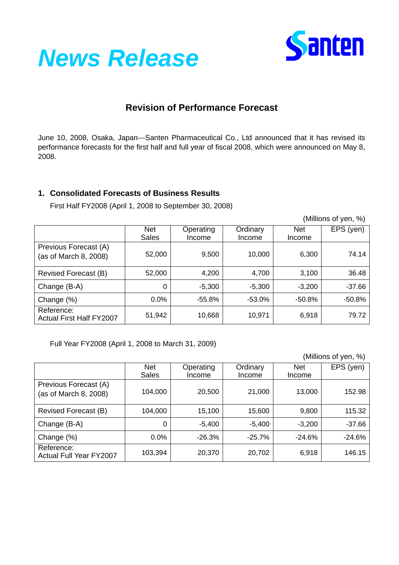



# **Revision of Performance Forecast**

June 10, 2008, Osaka, Japan---Santen Pharmaceutical Co., Ltd announced that it has revised its performance forecasts for the first half and full year of fiscal 2008, which were announced on May 8, 2008.

#### **1. Consolidated Forecasts of Business Results**

First Half FY2008 (April 1, 2008 to September 30, 2008)

(Millions of yen, %)

|                                                | <b>Net</b>   | Operating | Ordinary | <b>Net</b> | EPS (yen) |
|------------------------------------------------|--------------|-----------|----------|------------|-----------|
|                                                | <b>Sales</b> | Income    | Income   | Income     |           |
| Previous Forecast (A)<br>(as of March 8, 2008) | 52,000       | 9,500     | 10,000   | 6,300      | 74.14     |
| Revised Forecast (B)                           | 52,000       | 4,200     | 4,700    | 3,100      | 36.48     |
| Change (B-A)                                   | 0            | $-5,300$  | $-5,300$ | $-3,200$   | $-37.66$  |
| Change (%)                                     | 0.0%         | -55.8%    | -53.0%   | -50.8%     | -50.8%    |
| Reference:<br><b>Actual First Half FY2007</b>  | 51,942       | 10,668    | 10,971   | 6,918      | 79.72     |

Full Year FY2008 (April 1, 2008 to March 31, 2009)

|                                                |                            |                     |                    | (Millions of yen, %) |           |  |
|------------------------------------------------|----------------------------|---------------------|--------------------|----------------------|-----------|--|
|                                                | <b>Net</b><br><b>Sales</b> | Operating<br>Income | Ordinary<br>Income | <b>Net</b><br>Income | EPS (yen) |  |
| Previous Forecast (A)<br>(as of March 8, 2008) | 104,000                    | 20,500              | 21,000             | 13,000               | 152.98    |  |
| Revised Forecast (B)                           | 104,000                    | 15,100              | 15,600             | 9,800                | 115.32    |  |
| Change (B-A)                                   | 0                          | $-5,400$            | $-5,400$           | $-3,200$             | $-37.66$  |  |
| Change (%)                                     | $0.0\%$                    | $-26.3%$            | $-25.7\%$          | $-24.6\%$            | $-24.6%$  |  |
| Reference:<br><b>Actual Full Year FY2007</b>   | 103,394                    | 20,370              | 20,702             | 6,918                | 146.15    |  |